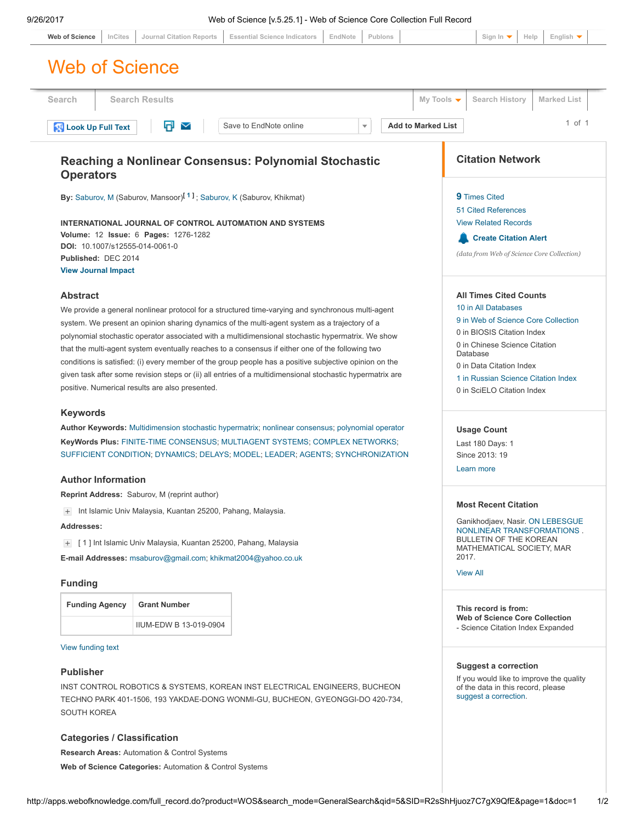| <b>Journal Citation Reports</b><br><b>Essential Science Indicators</b><br>Publons<br><b>Web of Science</b><br>InCites<br><b>Search Results</b><br>My Tools $\blacktriangledown$<br><b>Search History</b><br>Π<br><b>Add to Marked List</b><br>Save to EndNote online<br>$\checkmark$<br>$\overline{\mathbf{v}}$<br><b>Citation Network</b><br>Reaching a Nonlinear Consensus: Polynomial Stochastic<br><b>Operators</b><br>By: Saburov, M (Saburov, Mansoor) <sup>[1]</sup> ; Saburov, K (Saburov, Khikmat)<br><b>9</b> Times Cited<br><b>51 Cited References</b><br><b>View Related Records</b><br>INTERNATIONAL JOURNAL OF CONTROL AUTOMATION AND SYSTEMS<br>Volume: 12 Issue: 6 Pages: 1276-1282<br><b>Create Citation Alert</b><br>DOI: 10.1007/s12555-014-0061-0<br>Published: DEC 2014<br><b>View Journal Impact</b><br><b>Abstract</b><br><b>All Times Cited Counts</b><br>10 in All Databases<br>We provide a general nonlinear protocol for a structured time-varying and synchronous multi-agent<br>system. We present an opinion sharing dynamics of the multi-agent system as a trajectory of a<br>0 in BIOSIS Citation Index<br>polynomial stochastic operator associated with a multidimensional stochastic hypermatrix. We show<br>0 in Chinese Science Citation<br>that the multi-agent system eventually reaches to a consensus if either one of the following two<br>Database<br>conditions is satisfied: (i) every member of the group people has a positive subjective opinion on the<br>0 in Data Citation Index<br>given task after some revision steps or (ii) all entries of a multidimensional stochastic hypermatrix are<br>positive. Numerical results are also presented.<br>0 in SciELO Citation Index<br><b>Keywords</b><br>Author Keywords: Multidimension stochastic hypermatrix; nonlinear consensus; polynomial operator<br><b>Usage Count</b><br>KeyWords Plus: FINITE-TIME CONSENSUS; MULTIAGENT SYSTEMS; COMPLEX NETWORKS;<br>Last 180 Days: 1<br>SUFFICIENT CONDITION; DYNAMICS; DELAYS; MODEL; LEADER; AGENTS; SYNCHRONIZATION<br>Since 2013: 19<br>Learn more<br><b>Author Information</b><br>Reprint Address: Saburov, M (reprint author)<br><b>Most Recent Citation</b><br>Int Islamic Univ Malaysia, Kuantan 25200, Pahang, Malaysia.<br>$+$<br>Addresses:<br><b>BULLETIN OF THE KOREAN</b><br>[1] Int Islamic Univ Malaysia, Kuantan 25200, Pahang, Malaysia<br>$+$<br>2017.<br>E-mail Addresses: msaburov@gmail.com; khikmat2004@yahoo.co.uk<br><b>View All</b><br><b>Funding</b> | <b>Marked List</b><br>$1$ of $1$<br>(data from Web of Science Core Collection)<br>9 in Web of Science Core Collection<br>1 in Russian Science Citation Index<br>Ganikhodjaev, Nasir. ON LEBESGUE<br>NONLINEAR TRANSFORMATIONS.<br>MATHEMATICAL SOCIETY, MAR<br><b>Grant Number</b><br><b>Funding Agency</b><br>This record is from:<br><b>Web of Science Core Collection</b><br>IIUM-EDW B 13-019-0904<br>- Science Citation Index Expanded |  |  |  |         |  |  |  |                                                                      |  |  |
|--------------------------------------------------------------------------------------------------------------------------------------------------------------------------------------------------------------------------------------------------------------------------------------------------------------------------------------------------------------------------------------------------------------------------------------------------------------------------------------------------------------------------------------------------------------------------------------------------------------------------------------------------------------------------------------------------------------------------------------------------------------------------------------------------------------------------------------------------------------------------------------------------------------------------------------------------------------------------------------------------------------------------------------------------------------------------------------------------------------------------------------------------------------------------------------------------------------------------------------------------------------------------------------------------------------------------------------------------------------------------------------------------------------------------------------------------------------------------------------------------------------------------------------------------------------------------------------------------------------------------------------------------------------------------------------------------------------------------------------------------------------------------------------------------------------------------------------------------------------------------------------------------------------------------------------------------------------------------------------------------------------------------------------------------------------------------------------------------------------------------------------------------------------------------------------------------------------------------------------------------------------------------------------------------------------------------------------------------------------------------------------------------------------------------------------------------------------------------------------------------------------------------------|---------------------------------------------------------------------------------------------------------------------------------------------------------------------------------------------------------------------------------------------------------------------------------------------------------------------------------------------------------------------------------------------------------------------------------------------|--|--|--|---------|--|--|--|----------------------------------------------------------------------|--|--|
| <b>Web of Science</b><br>Search<br><b>Look Up Full Text</b>                                                                                                                                                                                                                                                                                                                                                                                                                                                                                                                                                                                                                                                                                                                                                                                                                                                                                                                                                                                                                                                                                                                                                                                                                                                                                                                                                                                                                                                                                                                                                                                                                                                                                                                                                                                                                                                                                                                                                                                                                                                                                                                                                                                                                                                                                                                                                                                                                                                                    |                                                                                                                                                                                                                                                                                                                                                                                                                                             |  |  |  | EndNote |  |  |  | Help<br>English $\blacktriangledown$<br>Sign In $\blacktriangledown$ |  |  |
|                                                                                                                                                                                                                                                                                                                                                                                                                                                                                                                                                                                                                                                                                                                                                                                                                                                                                                                                                                                                                                                                                                                                                                                                                                                                                                                                                                                                                                                                                                                                                                                                                                                                                                                                                                                                                                                                                                                                                                                                                                                                                                                                                                                                                                                                                                                                                                                                                                                                                                                                |                                                                                                                                                                                                                                                                                                                                                                                                                                             |  |  |  |         |  |  |  |                                                                      |  |  |
|                                                                                                                                                                                                                                                                                                                                                                                                                                                                                                                                                                                                                                                                                                                                                                                                                                                                                                                                                                                                                                                                                                                                                                                                                                                                                                                                                                                                                                                                                                                                                                                                                                                                                                                                                                                                                                                                                                                                                                                                                                                                                                                                                                                                                                                                                                                                                                                                                                                                                                                                |                                                                                                                                                                                                                                                                                                                                                                                                                                             |  |  |  |         |  |  |  |                                                                      |  |  |
|                                                                                                                                                                                                                                                                                                                                                                                                                                                                                                                                                                                                                                                                                                                                                                                                                                                                                                                                                                                                                                                                                                                                                                                                                                                                                                                                                                                                                                                                                                                                                                                                                                                                                                                                                                                                                                                                                                                                                                                                                                                                                                                                                                                                                                                                                                                                                                                                                                                                                                                                |                                                                                                                                                                                                                                                                                                                                                                                                                                             |  |  |  |         |  |  |  |                                                                      |  |  |
|                                                                                                                                                                                                                                                                                                                                                                                                                                                                                                                                                                                                                                                                                                                                                                                                                                                                                                                                                                                                                                                                                                                                                                                                                                                                                                                                                                                                                                                                                                                                                                                                                                                                                                                                                                                                                                                                                                                                                                                                                                                                                                                                                                                                                                                                                                                                                                                                                                                                                                                                |                                                                                                                                                                                                                                                                                                                                                                                                                                             |  |  |  |         |  |  |  |                                                                      |  |  |
|                                                                                                                                                                                                                                                                                                                                                                                                                                                                                                                                                                                                                                                                                                                                                                                                                                                                                                                                                                                                                                                                                                                                                                                                                                                                                                                                                                                                                                                                                                                                                                                                                                                                                                                                                                                                                                                                                                                                                                                                                                                                                                                                                                                                                                                                                                                                                                                                                                                                                                                                |                                                                                                                                                                                                                                                                                                                                                                                                                                             |  |  |  |         |  |  |  |                                                                      |  |  |
|                                                                                                                                                                                                                                                                                                                                                                                                                                                                                                                                                                                                                                                                                                                                                                                                                                                                                                                                                                                                                                                                                                                                                                                                                                                                                                                                                                                                                                                                                                                                                                                                                                                                                                                                                                                                                                                                                                                                                                                                                                                                                                                                                                                                                                                                                                                                                                                                                                                                                                                                |                                                                                                                                                                                                                                                                                                                                                                                                                                             |  |  |  |         |  |  |  |                                                                      |  |  |
|                                                                                                                                                                                                                                                                                                                                                                                                                                                                                                                                                                                                                                                                                                                                                                                                                                                                                                                                                                                                                                                                                                                                                                                                                                                                                                                                                                                                                                                                                                                                                                                                                                                                                                                                                                                                                                                                                                                                                                                                                                                                                                                                                                                                                                                                                                                                                                                                                                                                                                                                |                                                                                                                                                                                                                                                                                                                                                                                                                                             |  |  |  |         |  |  |  |                                                                      |  |  |
|                                                                                                                                                                                                                                                                                                                                                                                                                                                                                                                                                                                                                                                                                                                                                                                                                                                                                                                                                                                                                                                                                                                                                                                                                                                                                                                                                                                                                                                                                                                                                                                                                                                                                                                                                                                                                                                                                                                                                                                                                                                                                                                                                                                                                                                                                                                                                                                                                                                                                                                                |                                                                                                                                                                                                                                                                                                                                                                                                                                             |  |  |  |         |  |  |  |                                                                      |  |  |
|                                                                                                                                                                                                                                                                                                                                                                                                                                                                                                                                                                                                                                                                                                                                                                                                                                                                                                                                                                                                                                                                                                                                                                                                                                                                                                                                                                                                                                                                                                                                                                                                                                                                                                                                                                                                                                                                                                                                                                                                                                                                                                                                                                                                                                                                                                                                                                                                                                                                                                                                |                                                                                                                                                                                                                                                                                                                                                                                                                                             |  |  |  |         |  |  |  |                                                                      |  |  |
|                                                                                                                                                                                                                                                                                                                                                                                                                                                                                                                                                                                                                                                                                                                                                                                                                                                                                                                                                                                                                                                                                                                                                                                                                                                                                                                                                                                                                                                                                                                                                                                                                                                                                                                                                                                                                                                                                                                                                                                                                                                                                                                                                                                                                                                                                                                                                                                                                                                                                                                                |                                                                                                                                                                                                                                                                                                                                                                                                                                             |  |  |  |         |  |  |  |                                                                      |  |  |
|                                                                                                                                                                                                                                                                                                                                                                                                                                                                                                                                                                                                                                                                                                                                                                                                                                                                                                                                                                                                                                                                                                                                                                                                                                                                                                                                                                                                                                                                                                                                                                                                                                                                                                                                                                                                                                                                                                                                                                                                                                                                                                                                                                                                                                                                                                                                                                                                                                                                                                                                |                                                                                                                                                                                                                                                                                                                                                                                                                                             |  |  |  |         |  |  |  |                                                                      |  |  |
|                                                                                                                                                                                                                                                                                                                                                                                                                                                                                                                                                                                                                                                                                                                                                                                                                                                                                                                                                                                                                                                                                                                                                                                                                                                                                                                                                                                                                                                                                                                                                                                                                                                                                                                                                                                                                                                                                                                                                                                                                                                                                                                                                                                                                                                                                                                                                                                                                                                                                                                                |                                                                                                                                                                                                                                                                                                                                                                                                                                             |  |  |  |         |  |  |  |                                                                      |  |  |
|                                                                                                                                                                                                                                                                                                                                                                                                                                                                                                                                                                                                                                                                                                                                                                                                                                                                                                                                                                                                                                                                                                                                                                                                                                                                                                                                                                                                                                                                                                                                                                                                                                                                                                                                                                                                                                                                                                                                                                                                                                                                                                                                                                                                                                                                                                                                                                                                                                                                                                                                |                                                                                                                                                                                                                                                                                                                                                                                                                                             |  |  |  |         |  |  |  |                                                                      |  |  |
|                                                                                                                                                                                                                                                                                                                                                                                                                                                                                                                                                                                                                                                                                                                                                                                                                                                                                                                                                                                                                                                                                                                                                                                                                                                                                                                                                                                                                                                                                                                                                                                                                                                                                                                                                                                                                                                                                                                                                                                                                                                                                                                                                                                                                                                                                                                                                                                                                                                                                                                                |                                                                                                                                                                                                                                                                                                                                                                                                                                             |  |  |  |         |  |  |  |                                                                      |  |  |
|                                                                                                                                                                                                                                                                                                                                                                                                                                                                                                                                                                                                                                                                                                                                                                                                                                                                                                                                                                                                                                                                                                                                                                                                                                                                                                                                                                                                                                                                                                                                                                                                                                                                                                                                                                                                                                                                                                                                                                                                                                                                                                                                                                                                                                                                                                                                                                                                                                                                                                                                |                                                                                                                                                                                                                                                                                                                                                                                                                                             |  |  |  |         |  |  |  |                                                                      |  |  |
|                                                                                                                                                                                                                                                                                                                                                                                                                                                                                                                                                                                                                                                                                                                                                                                                                                                                                                                                                                                                                                                                                                                                                                                                                                                                                                                                                                                                                                                                                                                                                                                                                                                                                                                                                                                                                                                                                                                                                                                                                                                                                                                                                                                                                                                                                                                                                                                                                                                                                                                                |                                                                                                                                                                                                                                                                                                                                                                                                                                             |  |  |  |         |  |  |  |                                                                      |  |  |
|                                                                                                                                                                                                                                                                                                                                                                                                                                                                                                                                                                                                                                                                                                                                                                                                                                                                                                                                                                                                                                                                                                                                                                                                                                                                                                                                                                                                                                                                                                                                                                                                                                                                                                                                                                                                                                                                                                                                                                                                                                                                                                                                                                                                                                                                                                                                                                                                                                                                                                                                |                                                                                                                                                                                                                                                                                                                                                                                                                                             |  |  |  |         |  |  |  |                                                                      |  |  |
|                                                                                                                                                                                                                                                                                                                                                                                                                                                                                                                                                                                                                                                                                                                                                                                                                                                                                                                                                                                                                                                                                                                                                                                                                                                                                                                                                                                                                                                                                                                                                                                                                                                                                                                                                                                                                                                                                                                                                                                                                                                                                                                                                                                                                                                                                                                                                                                                                                                                                                                                |                                                                                                                                                                                                                                                                                                                                                                                                                                             |  |  |  |         |  |  |  |                                                                      |  |  |
|                                                                                                                                                                                                                                                                                                                                                                                                                                                                                                                                                                                                                                                                                                                                                                                                                                                                                                                                                                                                                                                                                                                                                                                                                                                                                                                                                                                                                                                                                                                                                                                                                                                                                                                                                                                                                                                                                                                                                                                                                                                                                                                                                                                                                                                                                                                                                                                                                                                                                                                                |                                                                                                                                                                                                                                                                                                                                                                                                                                             |  |  |  |         |  |  |  |                                                                      |  |  |
|                                                                                                                                                                                                                                                                                                                                                                                                                                                                                                                                                                                                                                                                                                                                                                                                                                                                                                                                                                                                                                                                                                                                                                                                                                                                                                                                                                                                                                                                                                                                                                                                                                                                                                                                                                                                                                                                                                                                                                                                                                                                                                                                                                                                                                                                                                                                                                                                                                                                                                                                |                                                                                                                                                                                                                                                                                                                                                                                                                                             |  |  |  |         |  |  |  |                                                                      |  |  |
|                                                                                                                                                                                                                                                                                                                                                                                                                                                                                                                                                                                                                                                                                                                                                                                                                                                                                                                                                                                                                                                                                                                                                                                                                                                                                                                                                                                                                                                                                                                                                                                                                                                                                                                                                                                                                                                                                                                                                                                                                                                                                                                                                                                                                                                                                                                                                                                                                                                                                                                                |                                                                                                                                                                                                                                                                                                                                                                                                                                             |  |  |  |         |  |  |  |                                                                      |  |  |
|                                                                                                                                                                                                                                                                                                                                                                                                                                                                                                                                                                                                                                                                                                                                                                                                                                                                                                                                                                                                                                                                                                                                                                                                                                                                                                                                                                                                                                                                                                                                                                                                                                                                                                                                                                                                                                                                                                                                                                                                                                                                                                                                                                                                                                                                                                                                                                                                                                                                                                                                |                                                                                                                                                                                                                                                                                                                                                                                                                                             |  |  |  |         |  |  |  |                                                                      |  |  |
|                                                                                                                                                                                                                                                                                                                                                                                                                                                                                                                                                                                                                                                                                                                                                                                                                                                                                                                                                                                                                                                                                                                                                                                                                                                                                                                                                                                                                                                                                                                                                                                                                                                                                                                                                                                                                                                                                                                                                                                                                                                                                                                                                                                                                                                                                                                                                                                                                                                                                                                                |                                                                                                                                                                                                                                                                                                                                                                                                                                             |  |  |  |         |  |  |  |                                                                      |  |  |
|                                                                                                                                                                                                                                                                                                                                                                                                                                                                                                                                                                                                                                                                                                                                                                                                                                                                                                                                                                                                                                                                                                                                                                                                                                                                                                                                                                                                                                                                                                                                                                                                                                                                                                                                                                                                                                                                                                                                                                                                                                                                                                                                                                                                                                                                                                                                                                                                                                                                                                                                |                                                                                                                                                                                                                                                                                                                                                                                                                                             |  |  |  |         |  |  |  |                                                                      |  |  |
|                                                                                                                                                                                                                                                                                                                                                                                                                                                                                                                                                                                                                                                                                                                                                                                                                                                                                                                                                                                                                                                                                                                                                                                                                                                                                                                                                                                                                                                                                                                                                                                                                                                                                                                                                                                                                                                                                                                                                                                                                                                                                                                                                                                                                                                                                                                                                                                                                                                                                                                                |                                                                                                                                                                                                                                                                                                                                                                                                                                             |  |  |  |         |  |  |  |                                                                      |  |  |
|                                                                                                                                                                                                                                                                                                                                                                                                                                                                                                                                                                                                                                                                                                                                                                                                                                                                                                                                                                                                                                                                                                                                                                                                                                                                                                                                                                                                                                                                                                                                                                                                                                                                                                                                                                                                                                                                                                                                                                                                                                                                                                                                                                                                                                                                                                                                                                                                                                                                                                                                |                                                                                                                                                                                                                                                                                                                                                                                                                                             |  |  |  |         |  |  |  |                                                                      |  |  |
|                                                                                                                                                                                                                                                                                                                                                                                                                                                                                                                                                                                                                                                                                                                                                                                                                                                                                                                                                                                                                                                                                                                                                                                                                                                                                                                                                                                                                                                                                                                                                                                                                                                                                                                                                                                                                                                                                                                                                                                                                                                                                                                                                                                                                                                                                                                                                                                                                                                                                                                                |                                                                                                                                                                                                                                                                                                                                                                                                                                             |  |  |  |         |  |  |  |                                                                      |  |  |
|                                                                                                                                                                                                                                                                                                                                                                                                                                                                                                                                                                                                                                                                                                                                                                                                                                                                                                                                                                                                                                                                                                                                                                                                                                                                                                                                                                                                                                                                                                                                                                                                                                                                                                                                                                                                                                                                                                                                                                                                                                                                                                                                                                                                                                                                                                                                                                                                                                                                                                                                |                                                                                                                                                                                                                                                                                                                                                                                                                                             |  |  |  |         |  |  |  |                                                                      |  |  |
|                                                                                                                                                                                                                                                                                                                                                                                                                                                                                                                                                                                                                                                                                                                                                                                                                                                                                                                                                                                                                                                                                                                                                                                                                                                                                                                                                                                                                                                                                                                                                                                                                                                                                                                                                                                                                                                                                                                                                                                                                                                                                                                                                                                                                                                                                                                                                                                                                                                                                                                                |                                                                                                                                                                                                                                                                                                                                                                                                                                             |  |  |  |         |  |  |  |                                                                      |  |  |
|                                                                                                                                                                                                                                                                                                                                                                                                                                                                                                                                                                                                                                                                                                                                                                                                                                                                                                                                                                                                                                                                                                                                                                                                                                                                                                                                                                                                                                                                                                                                                                                                                                                                                                                                                                                                                                                                                                                                                                                                                                                                                                                                                                                                                                                                                                                                                                                                                                                                                                                                |                                                                                                                                                                                                                                                                                                                                                                                                                                             |  |  |  |         |  |  |  |                                                                      |  |  |
|                                                                                                                                                                                                                                                                                                                                                                                                                                                                                                                                                                                                                                                                                                                                                                                                                                                                                                                                                                                                                                                                                                                                                                                                                                                                                                                                                                                                                                                                                                                                                                                                                                                                                                                                                                                                                                                                                                                                                                                                                                                                                                                                                                                                                                                                                                                                                                                                                                                                                                                                |                                                                                                                                                                                                                                                                                                                                                                                                                                             |  |  |  |         |  |  |  |                                                                      |  |  |
|                                                                                                                                                                                                                                                                                                                                                                                                                                                                                                                                                                                                                                                                                                                                                                                                                                                                                                                                                                                                                                                                                                                                                                                                                                                                                                                                                                                                                                                                                                                                                                                                                                                                                                                                                                                                                                                                                                                                                                                                                                                                                                                                                                                                                                                                                                                                                                                                                                                                                                                                |                                                                                                                                                                                                                                                                                                                                                                                                                                             |  |  |  |         |  |  |  |                                                                      |  |  |

<span id="page-0-0"></span>INST CONTROL ROBOTICS & SYSTEMS, KOREAN INST ELECTRICAL ENGINEERS, BUCHEON TECHNO PARK 401-1506, 193 YAKDAE-DONG WONMI-GU, BUCHEON, GYEONGGI-DO 420-734, SOUTH KOREA

## Categories / Classification

Research Areas: Automation & Control Systems

Web of Science Categories: Automation & Control Systems

If you would like to improve the quality of the data in this record, please

[suggest a correction.](javascript:;)